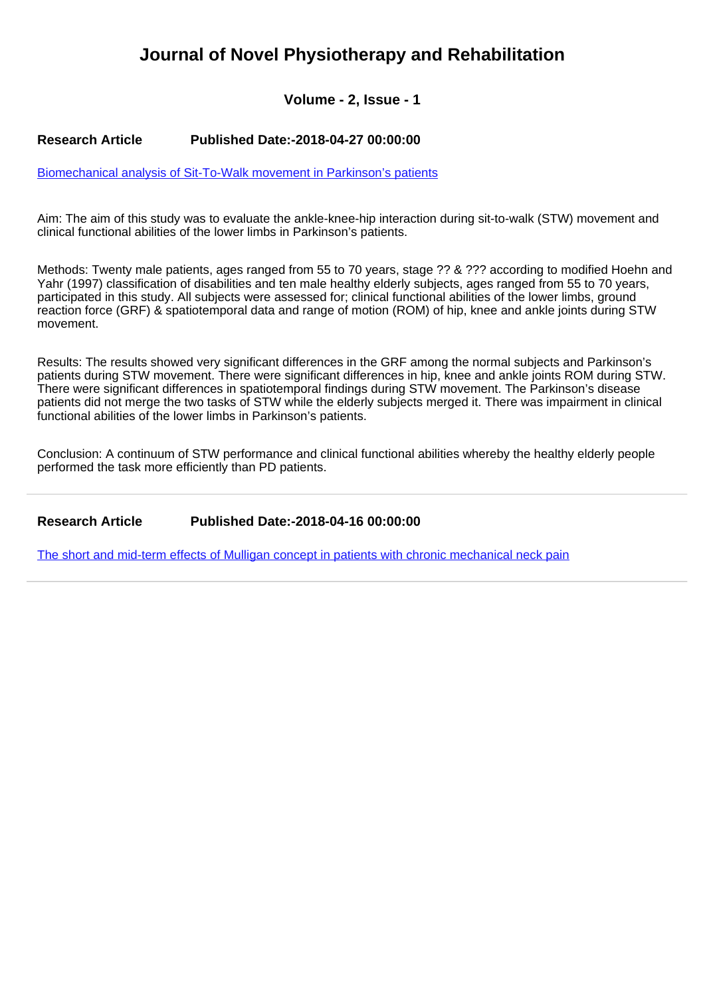## **Journal of Novel Physiotherapy and Rehabilitation**

**Volume - 2, Issue - 1**

## **Research Article Published Date:-2018-04-27 00:00:00**

[Biomechanical analysis of Sit-To-Walk movement in Parkinson's patients](https://www.rehabilityjournal.com/articles/jnpr-aid1019.pdf)

Aim: The aim of this study was to evaluate the ankle-knee-hip interaction during sit-to-walk (STW) movement and clinical functional abilities of the lower limbs in Parkinson's patients.

Methods: Twenty male patients, ages ranged from 55 to 70 years, stage ?? & ??? according to modified Hoehn and Yahr (1997) classification of disabilities and ten male healthy elderly subjects, ages ranged from 55 to 70 years, participated in this study. All subjects were assessed for; clinical functional abilities of the lower limbs, ground reaction force (GRF) & spatiotemporal data and range of motion (ROM) of hip, knee and ankle joints during STW movement.

Results: The results showed very significant differences in the GRF among the normal subjects and Parkinson's patients during STW movement. There were significant differences in hip, knee and ankle joints ROM during STW. There were significant differences in spatiotemporal findings during STW movement. The Parkinson's disease patients did not merge the two tasks of STW while the elderly subjects merged it. There was impairment in clinical functional abilities of the lower limbs in Parkinson's patients.

Conclusion: A continuum of STW performance and clinical functional abilities whereby the healthy elderly people performed the task more efficiently than PD patients.

**Research Article Published Date:-2018-04-16 00:00:00**

[The short and mid-term effects of Mulligan concept in patients with chronic mechanical neck pain](https://www.rehabilityjournal.com/articles/jnpr-aid1018.pdf)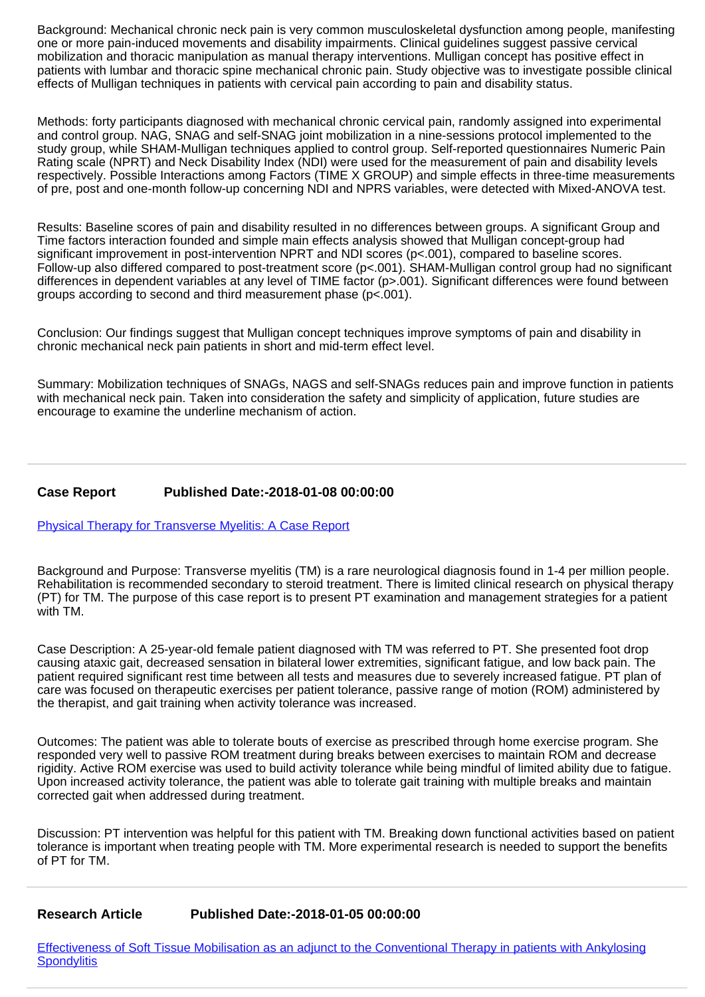Background: Mechanical chronic neck pain is very common musculoskeletal dysfunction among people, manifesting one or more pain-induced movements and disability impairments. Clinical guidelines suggest passive cervical mobilization and thoracic manipulation as manual therapy interventions. Mulligan concept has positive effect in patients with lumbar and thoracic spine mechanical chronic pain. Study objective was to investigate possible clinical effects of Mulligan techniques in patients with cervical pain according to pain and disability status.

Methods: forty participants diagnosed with mechanical chronic cervical pain, randomly assigned into experimental and control group. NAG, SNAG and self-SNAG joint mobilization in a nine-sessions protocol implemented to the study group, while SHAM-Mulligan techniques applied to control group. Self-reported questionnaires Numeric Pain Rating scale (NPRT) and Neck Disability Index (NDI) were used for the measurement of pain and disability levels respectively. Possible Interactions among Factors (TIME X GROUP) and simple effects in three-time measurements of pre, post and one-month follow-up concerning NDI and NPRS variables, were detected with Mixed-ANOVA test.

Results: Baseline scores of pain and disability resulted in no differences between groups. A significant Group and Time factors interaction founded and simple main effects analysis showed that Mulligan concept-group had significant improvement in post-intervention NPRT and NDI scores (p<.001), compared to baseline scores. Follow-up also differed compared to post-treatment score (p<.001). SHAM-Mulligan control group had no significant differences in dependent variables at any level of TIME factor (p>.001). Significant differences were found between groups according to second and third measurement phase (p<.001).

Conclusion: Our findings suggest that Mulligan concept techniques improve symptoms of pain and disability in chronic mechanical neck pain patients in short and mid-term effect level.

Summary: Mobilization techniques of SNAGs, NAGS and self-SNAGs reduces pain and improve function in patients with mechanical neck pain. Taken into consideration the safety and simplicity of application, future studies are encourage to examine the underline mechanism of action.

## **Case Report Published Date:-2018-01-08 00:00:00**

[Physical Therapy for Transverse Myelitis: A Case Report](https://www.rehabilityjournal.com/articles/jnpr-aid1017.pdf)

Background and Purpose: Transverse myelitis (TM) is a rare neurological diagnosis found in 1-4 per million people. Rehabilitation is recommended secondary to steroid treatment. There is limited clinical research on physical therapy (PT) for TM. The purpose of this case report is to present PT examination and management strategies for a patient with TM.

Case Description: A 25-year-old female patient diagnosed with TM was referred to PT. She presented foot drop causing ataxic gait, decreased sensation in bilateral lower extremities, significant fatigue, and low back pain. The patient required significant rest time between all tests and measures due to severely increased fatigue. PT plan of care was focused on therapeutic exercises per patient tolerance, passive range of motion (ROM) administered by the therapist, and gait training when activity tolerance was increased.

Outcomes: The patient was able to tolerate bouts of exercise as prescribed through home exercise program. She responded very well to passive ROM treatment during breaks between exercises to maintain ROM and decrease rigidity. Active ROM exercise was used to build activity tolerance while being mindful of limited ability due to fatigue. Upon increased activity tolerance, the patient was able to tolerate gait training with multiple breaks and maintain corrected gait when addressed during treatment.

Discussion: PT intervention was helpful for this patient with TM. Breaking down functional activities based on patient tolerance is important when treating people with TM. More experimental research is needed to support the benefits of PT for TM.

## **Research Article Published Date:-2018-01-05 00:00:00**

[Effectiveness of Soft Tissue Mobilisation as an adjunct to the Conventional Therapy in patients with Ankylosing](https://www.rehabilityjournal.com/articles/jnpr-aid1016.pdf) **[Spondylitis](https://www.rehabilityjournal.com/articles/jnpr-aid1016.pdf)**